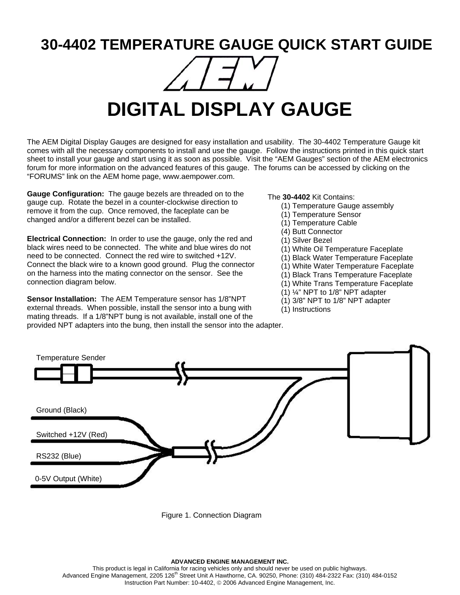## **30-4402 TEMPERATURE GAUGE QUICK START GUIDE**



## **DIGITAL DISPLAY GAUGE**

The AEM Digital Display Gauges are designed for easy installation and usability. The 30-4402 Temperature Gauge kit comes with all the necessary components to install and use the gauge. Follow the instructions printed in this quick start sheet to install your gauge and start using it as soon as possible. Visit the "AEM Gauges" section of the AEM electronics forum for more information on the advanced features of this gauge. The forums can be accessed by clicking on the "FORUMS" link on the AEM home page, www.aempower.com.

**Gauge Configuration:** The gauge bezels are threaded on to the gauge cup. Rotate the bezel in a counter-clockwise direction to remove it from the cup. Once removed, the faceplate can be changed and/or a different bezel can be installed.

**Electrical Connection:** In order to use the gauge, only the red and black wires need to be connected. The white and blue wires do not need to be connected. Connect the red wire to switched +12V. Connect the black wire to a known good ground. Plug the connector on the harness into the mating connector on the sensor. See the connection diagram below.

**Sensor Installation:** The AEM Temperature sensor has 1/8"NPT external threads. When possible, install the sensor into a bung with mating threads. If a 1/8"NPT bung is not available, install one of the provided NPT adapters into the bung, then install the sensor into the adapter.

The **30-4402** Kit Contains:

- (1) Temperature Gauge assembly
- (1) Temperature Sensor
- (1) Temperature Cable
- (4) Butt Connector
- (1) Silver Bezel
- (1) White Oil Temperature Faceplate
- (1) Black Water Temperature Faceplate
- (1) White Water Temperature Faceplate
- (1) Black Trans Temperature Faceplate
- (1) White Trans Temperature Faceplate
- (1) ¼" NPT to 1/8" NPT adapter
- (1) 3/8" NPT to 1/8" NPT adapter
- (1) Instructions



Figure 1. Connection Diagram

This product is legal in California for racing vehicles only and should never be used on public highways. Advanced Engine Management, 2205 126<sup>th</sup> Street Unit A Hawthorne, CA. 90250, Phone: (310) 484-2322 Fax: (310) 484-0152 Instruction Part Number: 10-4402, © 2006 Advanced Engine Management, Inc.